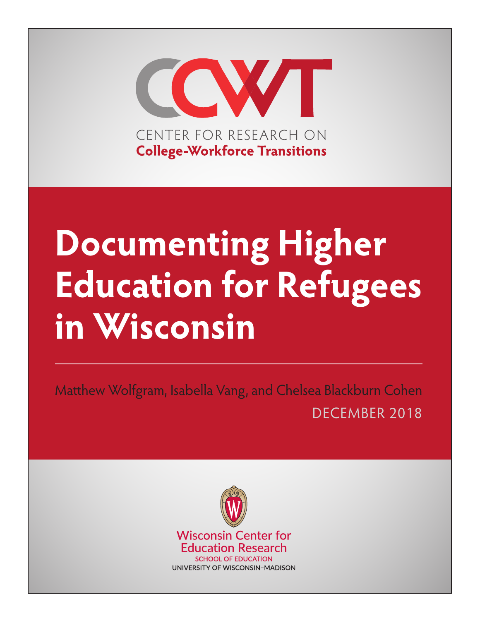

# **Documenting Higher Education for Refugees in Wisconsin**

Matthew Wolfgram, Isabella Vang, and Chelsea Blackburn Cohen DECEMBER 2018

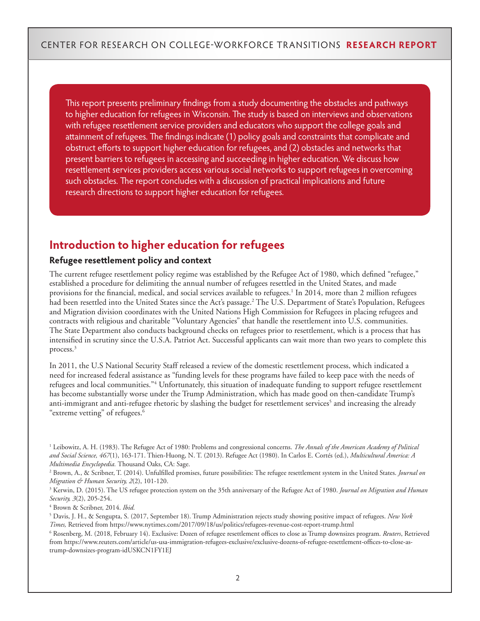This report presents preliminary findings from a study documenting the obstacles and pathways to higher education for refugees in Wisconsin. The study is based on interviews and observations with refugee resettlement service providers and educators who support the college goals and attainment of refugees. The findings indicate (1) policy goals and constraints that complicate and obstruct efforts to support higher education for refugees, and (2) obstacles and networks that present barriers to refugees in accessing and succeeding in higher education. We discuss how resettlement services providers access various social networks to support refugees in overcoming such obstacles. The report concludes with a discussion of practical implications and future research directions to support higher education for refugees.

# **Introduction to higher education for refugees**

#### **Refugee resettlement policy and context**

The current refugee resettlement policy regime was established by the Refugee Act of 1980, which defined "refugee," established a procedure for delimiting the annual number of refugees resettled in the United States, and made provisions for the financial, medical, and social services available to refugees.<sup>1</sup> In 2014, more than 2 million refugees had been resettled into the United States since the Act's passage.<sup>2</sup> The U.S. Department of State's Population, Refugees and Migration division coordinates with the United Nations High Commission for Refugees in placing refugees and contracts with religious and charitable "Voluntary Agencies" that handle the resettlement into U.S. communities. The State Department also conducts background checks on refugees prior to resettlement, which is a process that has intensified in scrutiny since the U.S.A. Patriot Act. Successful applicants can wait more than two years to complete this process.3

In 2011, the U.S National Security Staff released a review of the domestic resettlement process, which indicated a need for increased federal assistance as "funding levels for these programs have failed to keep pace with the needs of refugees and local communities."<sup>4</sup> Unfortunately, this situation of inadequate funding to support refugee resettlement has become substantially worse under the Trump Administration, which has made good on then-candidate Trump's anti-immigrant and anti-refugee rhetoric by slashing the budget for resettlement services<sup>5</sup> and increasing the already "extreme vetting" of refugees.<sup>6</sup>

4 Brown & Scribner, 2014. *Ibid.* 

6 Rosenberg, M. (2018, February 14). Exclusive: Dozen of refugee resettlement offices to close as Trump downsizes program. *Reuters*, Retrieved from https://www.reuters.com/article/us-usa-immigration-refugees-exclusive/exclusive-dozens-of-refugee-resettlement-offices-to-close-astrump-downsizes-program-idUSKCN1FY1EJ

<sup>&</sup>lt;sup>1</sup> Leibowitz, A. H. (1983). The Refugee Act of 1980: Problems and congressional concerns. *The Annals of the American Academy of Political and Social Science, 467*(1), 163-171. Thien-Huong, N. T. (2013). Refugee Act (1980). In Carlos E. Cortés (ed.), *Multicultural America: A Multimedia Encyclopedia.* Thousand Oaks, CA: Sage.

<sup>2</sup> Brown, A., & Scribner, T. (2014). Unfulfilled promises, future possibilities: The refugee resettlement system in the United States. *Journal on Migration & Human Security, 2*(2), 101-120.

<sup>3</sup> Kerwin, D. (2015). The US refugee protection system on the 35th anniversary of the Refugee Act of 1980. *Journal on Migration and Human Security, 3*(2), 205-254.

<sup>5</sup> Davis, J. H., & Sengupta, S. (2017, September 18). Trump Administration rejects study showing positive impact of refugees. *New York Times,* Retrieved from https://www.nytimes.com/2017/09/18/us/politics/refugees-revenue-cost-report-trump.html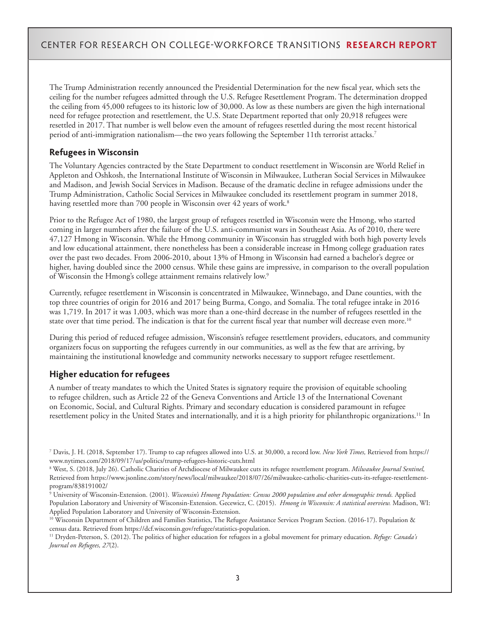The Trump Administration recently announced the Presidential Determination for the new fiscal year, which sets the ceiling for the number refugees admitted through the U.S. Refugee Resettlement Program. The determination dropped the ceiling from 45,000 refugees to its historic low of 30,000. As low as these numbers are given the high international need for refugee protection and resettlement, the U.S. State Department reported that only 20,918 refugees were resettled in 2017. That number is well below even the amount of refugees resettled during the most recent historical period of anti-immigration nationalism—the two years following the September 11th terrorist attacks.<sup>7</sup>

#### **Refugees in Wisconsin**

The Voluntary Agencies contracted by the State Department to conduct resettlement in Wisconsin are World Relief in Appleton and Oshkosh, the International Institute of Wisconsin in Milwaukee, Lutheran Social Services in Milwaukee and Madison, and Jewish Social Services in Madison. Because of the dramatic decline in refugee admissions under the Trump Administration, Catholic Social Services in Milwaukee concluded its resettlement program in summer 2018, having resettled more than 700 people in Wisconsin over 42 years of work.<sup>8</sup>

Prior to the Refugee Act of 1980, the largest group of refugees resettled in Wisconsin were the Hmong, who started coming in larger numbers after the failure of the U.S. anti-communist wars in Southeast Asia. As of 2010, there were 47,127 Hmong in Wisconsin. While the Hmong community in Wisconsin has struggled with both high poverty levels and low educational attainment, there nonetheless has been a considerable increase in Hmong college graduation rates over the past two decades. From 2006-2010, about 13% of Hmong in Wisconsin had earned a bachelor's degree or higher, having doubled since the 2000 census. While these gains are impressive, in comparison to the overall population of Wisconsin the Hmong's college attainment remains relatively low.9

Currently, refugee resettlement in Wisconsin is concentrated in Milwaukee, Winnebago, and Dane counties, with the top three countries of origin for 2016 and 2017 being Burma, Congo, and Somalia. The total refugee intake in 2016 was 1,719. In 2017 it was 1,003, which was more than a one-third decrease in the number of refugees resettled in the state over that time period. The indication is that for the current fiscal year that number will decrease even more.<sup>10</sup>

During this period of reduced refugee admission, Wisconsin's refugee resettlement providers, educators, and community organizers focus on supporting the refugees currently in our communities, as well as the few that are arriving, by maintaining the institutional knowledge and community networks necessary to support refugee resettlement.

#### **Higher education for refugees**

A number of treaty mandates to which the United States is signatory require the provision of equitable schooling to refugee children, such as Article 22 of the Geneva Conventions and Article 13 of the International Covenant on Economic, Social, and Cultural Rights. Primary and secondary education is considered paramount in refugee resettlement policy in the United States and internationally, and it is a high priority for philanthropic organizations.<sup>11</sup> In

<sup>7</sup> Davis, J. H. (2018, September 17). Trump to cap refugees allowed into U.S. at 30,000, a record low. *New York Times,* Retrieved from https:// www.nytimes.com/2018/09/17/us/politics/trump-refugees-historic-cuts.html

<sup>8</sup> West, S. (2018, July 26). Catholic Charities of Archdiocese of Milwaukee cuts its refugee resettlement program. *Milwaukee Journal Sentinel,* Retrieved from https://www.jsonline.com/story/news/local/milwaukee/2018/07/26/milwaukee-catholic-charities-cuts-its-refugee-resettlementprogram/838191002/

<sup>9</sup> University of Wisconsin-Extension. (2001). *Wisconsin's Hmong Population: Census 2000 population and other demographic trends.* Applied Population Laboratory and University of Wisconsin-Extension. Gecewicz, C. (2015). *Hmong in Wisconsin: A statistical overview.* Madison, WI: Applied Population Laboratory and University of Wisconsin-Extension.

<sup>&</sup>lt;sup>10</sup> Wisconsin Department of Children and Families Statistics, The Refugee Assistance Services Program Section. (2016-17). Population & census data. Retrieved from https://dcf.wisconsin.gov/refugee/statistics-population.

<sup>11</sup> Dryden-Peterson, S. (2012). The politics of higher education for refugees in a global movement for primary education. *Refuge: Canada's Journal on Refugees, 27*(2).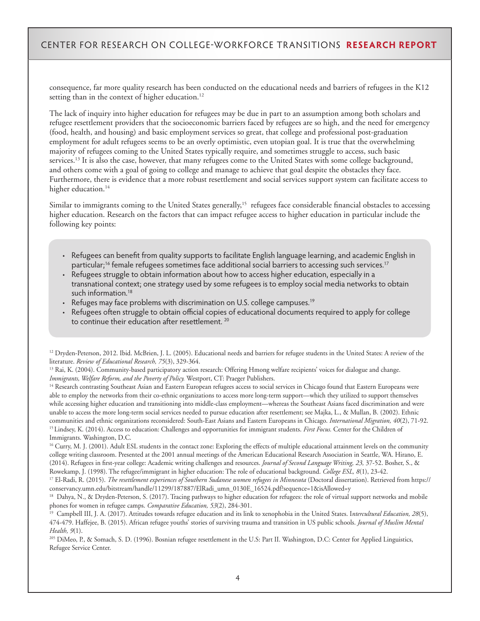consequence, far more quality research has been conducted on the educational needs and barriers of refugees in the K12 setting than in the context of higher education.<sup>12</sup>

The lack of inquiry into higher education for refugees may be due in part to an assumption among both scholars and refugee resettlement providers that the socioeconomic barriers faced by refugees are so high, and the need for emergency (food, health, and housing) and basic employment services so great, that college and professional post-graduation employment for adult refugees seems to be an overly optimistic, even utopian goal. It is true that the overwhelming majority of refugees coming to the United States typically require, and sometimes struggle to access, such basic services.<sup>13</sup> It is also the case, however, that many refugees come to the United States with some college background, and others come with a goal of going to college and manage to achieve that goal despite the obstacles they face. Furthermore, there is evidence that a more robust resettlement and social services support system can facilitate access to higher education.<sup>14</sup>

Similar to immigrants coming to the United States generally,<sup>15</sup> refugees face considerable financial obstacles to accessing higher education. Research on the factors that can impact refugee access to higher education in particular include the following key points:

- Refugees can benefit from quality supports to facilitate English language learning, and academic English in particular;<sup>16</sup> female refugees sometimes face additional social barriers to accessing such services.<sup>17</sup>
- Refugees struggle to obtain information about how to access higher education, especially in a transnational context; one strategy used by some refugees is to employ social media networks to obtain such information.<sup>18</sup>
- Refuges may face problems with discrimination on U.S. college campuses.<sup>19</sup>
- Refugees often struggle to obtain official copies of educational documents required to apply for college to continue their education after resettlement.<sup>20</sup>

<sup>12</sup> Dryden-Peterson, 2012. Ibid. McBrien, J. L. (2005). Educational needs and barriers for refugee students in the United States: A review of the literature. *Review of Educational Research, 75*(3), 329-364.

<sup>14</sup> Research contrasting Southeast Asian and Eastern European refugees access to social services in Chicago found that Eastern Europeans were able to employ the networks from their co-ethnic organizations to access more long-term support—which they utilized to support themselves while accessing higher education and transitioning into middle-class employment—whereas the Southeast Asians faced discrimination and were unable to access the more long-term social services needed to pursue education after resettlement; see Majka, L., & Mullan, B. (2002). Ethnic communities and ethnic organizations reconsidered: South-East Asians and Eastern Europeans in Chicago. *International Migration, 40*(2), 71-92. <sup>15</sup> Lindsey, K. (2014). Access to education: Challenges and opportunities for immigrant students. *First Focus*. Center for the Children of Immigrants. Washington, D.C.

<sup>16</sup> Curry, M. J. (2001). Adult ESL students in the contact zone: Exploring the effects of multiple educational attainment levels on the community college writing classroom. Presented at the 2001 annual meetings of the American Educational Research Association in Seattle, WA. Hirano, E. (2014). Refugees in first-year college: Academic writing challenges and resources. *Journal of Second Language Writing, 23,* 37-52. Bosher, S., & Rowekamp, J. (1998). The refugee/immigrant in higher education: The role of educational background. *College ESL, 8*(1), 23-42.

17 El-Radi, R. (2015). *The resettlement experiences of Southern Sudanese women refugees in Minnesota* (Doctoral dissertation). Retrieved from https:// conservancy.umn.edu/bitstream/handle/11299/187887/ElRadi\_umn\_0130E\_16524.pdf?sequence=1&isAllowed=y

<sup>205</sup> DiMeo, P., & Somach, S. D. (1996). Bosnian refugee resettlement in the U.S: Part II. Washington, D.C: Center for Applied Linguistics, Refugee Service Center.

<sup>13</sup> Rai, K. (2004). Community-based participatory action research: Offering Hmong welfare recipients' voices for dialogue and change. *Immigrants, Welfare Reform, and the Poverty of Policy.* Westport, CT: Praeger Publishers.

<sup>&</sup>lt;sup>18</sup> Dahya, N., & Dryden-Peterson, S. (2017). Tracing pathways to higher education for refugees: the role of virtual support networks and mobile phones for women in refugee camps. *Comparative Education, 53*(2), 284-301.

<sup>19</sup> Campbell III, J. A. (2017). Attitudes towards refugee education and its link to xenophobia in the United States. I*ntercultural Education, 28*(5), 474-479. Haffejee, B. (2015). African refugee youths' stories of surviving trauma and transition in US public schools. *Journal of Muslim Mental Health, 9*(1).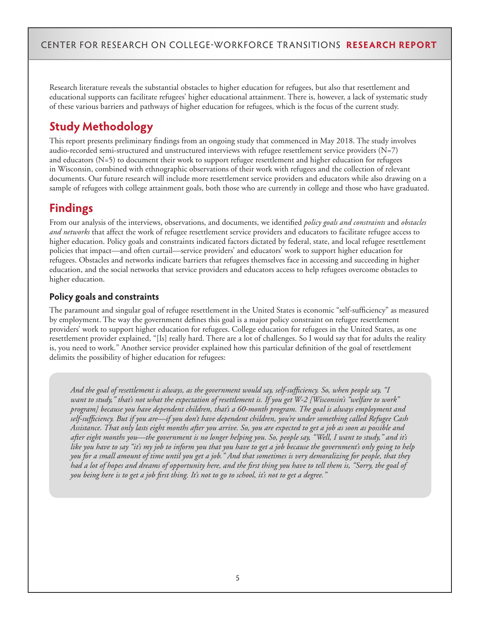Research literature reveals the substantial obstacles to higher education for refugees, but also that resettlement and educational supports can facilitate refugees' higher educational attainment. There is, however, a lack of systematic study of these various barriers and pathways of higher education for refugees, which is the focus of the current study.

# **Study Methodology**

This report presents preliminary findings from an ongoing study that commenced in May 2018. The study involves audio-recorded semi-structured and unstructured interviews with refugee resettlement service providers  $(N=7)$ and educators (N=5) to document their work to support refugee resettlement and higher education for refugees in Wisconsin, combined with ethnographic observations of their work with refugees and the collection of relevant documents. Our future research will include more resettlement service providers and educators while also drawing on a sample of refugees with college attainment goals, both those who are currently in college and those who have graduated.

# **Findings**

From our analysis of the interviews, observations, and documents, we identified *policy goals and constraints* and *obstacles and networks* that affect the work of refugee resettlement service providers and educators to facilitate refugee access to higher education. Policy goals and constraints indicated factors dictated by federal, state, and local refugee resettlement policies that impact—and often curtail—service providers' and educators' work to support higher education for refugees. Obstacles and networks indicate barriers that refugees themselves face in accessing and succeeding in higher education, and the social networks that service providers and educators access to help refugees overcome obstacles to higher education.

#### **Policy goals and constraints**

The paramount and singular goal of refugee resettlement in the United States is economic "self-sufficiency" as measured by employment. The way the government defines this goal is a major policy constraint on refugee resettlement providers' work to support higher education for refugees. College education for refugees in the United States, as one resettlement provider explained, "[Is] really hard. There are a lot of challenges. So I would say that for adults the reality is, you need to work." Another service provider explained how this particular definition of the goal of resettlement delimits the possibility of higher education for refugees:

*And the goal of resettlement is always, as the government would say, self-sufficiency. So, when people say, "I want to study," that's not what the expectation of resettlement is. If you get W-2 [Wisconsin's "welfare to work" program] because you have dependent children, that's a 60-month program. The goal is always employment and self-sufficiency. But if you are—if you don't have dependent children, you're under something called Refugee Cash Assistance. That only lasts eight months after you arrive. So, you are expected to get a job as soon as possible and after eight months you—the government is no longer helping you. So, people say, "Well, I want to study," and it's like you have to say "it's my job to inform you that you have to get a job because the government's only going to help you for a small amount of time until you get a job." And that sometimes is very demoralizing for people, that they had a lot of hopes and dreams of opportunity here, and the first thing you have to tell them is, "Sorry, the goal of you being here is to get a job first thing. It's not to go to school, it's not to get a degree."*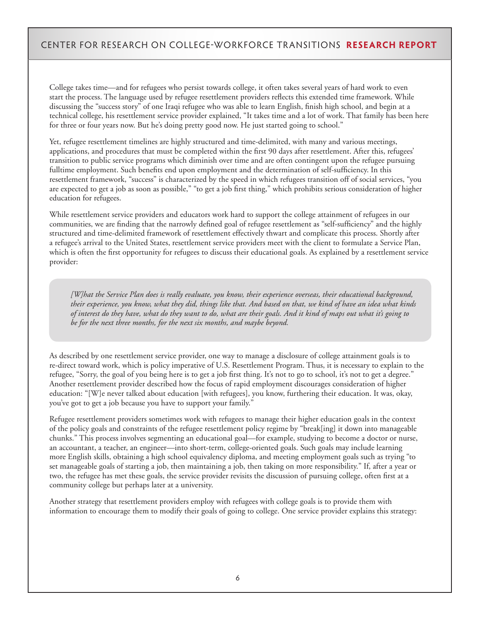College takes time—and for refugees who persist towards college, it often takes several years of hard work to even start the process. The language used by refugee resettlement providers reflects this extended time framework. While discussing the "success story" of one Iraqi refugee who was able to learn English, finish high school, and begin at a technical college, his resettlement service provider explained, "It takes time and a lot of work. That family has been here for three or four years now. But he's doing pretty good now. He just started going to school."

Yet, refugee resettlement timelines are highly structured and time-delimited, with many and various meetings, applications, and procedures that must be completed within the first 90 days after resettlement. After this, refugees' transition to public service programs which diminish over time and are often contingent upon the refugee pursuing fulltime employment. Such benefits end upon employment and the determination of self-sufficiency. In this resettlement framework, "success" is characterized by the speed in which refugees transition off of social services, "you are expected to get a job as soon as possible," "to get a job first thing," which prohibits serious consideration of higher education for refugees.

While resettlement service providers and educators work hard to support the college attainment of refugees in our communities, we are finding that the narrowly defined goal of refugee resettlement as "self-sufficiency" and the highly structured and time-delimited framework of resettlement effectively thwart and complicate this process. Shortly after a refugee's arrival to the United States, resettlement service providers meet with the client to formulate a Service Plan, which is often the first opportunity for refugees to discuss their educational goals. As explained by a resettlement service provider:

*[W]hat the Service Plan does is really evaluate, you know, their experience overseas, their educational background, their experience, you know, what they did, things like that. And based on that, we kind of have an idea what kinds of interest do they have, what do they want to do, what are their goals. And it kind of maps out what it's going to be for the next three months, for the next six months, and maybe beyond.*

As described by one resettlement service provider, one way to manage a disclosure of college attainment goals is to re-direct toward work, which is policy imperative of U.S. Resettlement Program. Thus, it is necessary to explain to the refugee, "Sorry, the goal of you being here is to get a job first thing. It's not to go to school, it's not to get a degree." Another resettlement provider described how the focus of rapid employment discourages consideration of higher education: "[W]e never talked about education [with refugees], you know, furthering their education. It was, okay, you've got to get a job because you have to support your family."

Refugee resettlement providers sometimes work with refugees to manage their higher education goals in the context of the policy goals and constraints of the refugee resettlement policy regime by "break[ing] it down into manageable chunks." This process involves segmenting an educational goal—for example, studying to become a doctor or nurse, an accountant, a teacher, an engineer—into short-term, college-oriented goals. Such goals may include learning more English skills, obtaining a high school equivalency diploma, and meeting employment goals such as trying "to set manageable goals of starting a job, then maintaining a job, then taking on more responsibility." If, after a year or two, the refugee has met these goals, the service provider revisits the discussion of pursuing college, often first at a community college but perhaps later at a university.

Another strategy that resettlement providers employ with refugees with college goals is to provide them with information to encourage them to modify their goals of going to college. One service provider explains this strategy: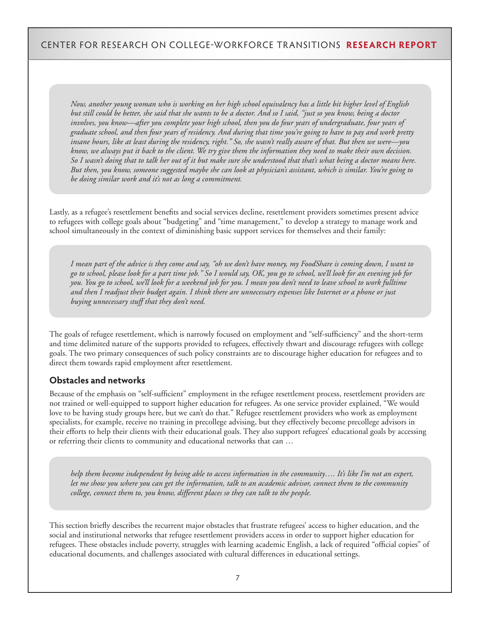*Now, another young woman who is working on her high school equivalency has a little bit higher level of English but still could be better, she said that she wants to be a doctor. And so I said, "just so you know, being a doctor involves, you know—after you complete your high school, then you do four years of undergraduate, four years of graduate school, and then four years of residency. And during that time you're going to have to pay and work pretty insane hours, like at least during the residency, right." So, she wasn't really aware of that. But then we were—you know, we always put it back to the client. We try give them the information they need to make their own decision. So I wasn't doing that to talk her out of it but make sure she understood that that's what being a doctor means here. But then, you know, someone suggested maybe she can look at physician's assistant, which is similar. You're going to be doing similar work and it's not as long a commitment.*

Lastly, as a refugee's resettlement benefits and social services decline, resettlement providers sometimes present advice to refugees with college goals about "budgeting" and "time management," to develop a strategy to manage work and school simultaneously in the context of diminishing basic support services for themselves and their family:

*I mean part of the advice is they come and say, "oh we don't have money, my FoodShare is coming down, I want to go to school, please look for a part time job." So I would say, OK, you go to school, we'll look for an evening job for you. You go to school, we'll look for a weekend job for you. I mean you don't need to leave school to work fulltime and then I readjust their budget again. I think there are unnecessary expenses like Internet or a phone or just buying unnecessary stuff that they don't need.* 

The goals of refugee resettlement, which is narrowly focused on employment and "self-sufficiency" and the short-term and time delimited nature of the supports provided to refugees, effectively thwart and discourage refugees with college goals. The two primary consequences of such policy constraints are to discourage higher education for refugees and to direct them towards rapid employment after resettlement.

#### **Obstacles and networks**

Because of the emphasis on "self-sufficient" employment in the refugee resettlement process, resettlement providers are not trained or well-equipped to support higher education for refugees. As one service provider explained, "We would love to be having study groups here, but we can't do that." Refugee resettlement providers who work as employment specialists, for example, receive no training in precollege advising, but they effectively become precollege advisors in their efforts to help their clients with their educational goals. They also support refugees' educational goals by accessing or referring their clients to community and educational networks that can …

*help them become independent by being able to access information in the community…. It's like I'm not an expert, let me show you where you can get the information, talk to an academic advisor, connect them to the community college, connect them to, you know, different places so they can talk to the people.* 

This section briefly describes the recurrent major obstacles that frustrate refugees' access to higher education, and the social and institutional networks that refugee resettlement providers access in order to support higher education for refugees. These obstacles include poverty, struggles with learning academic English, a lack of required "official copies" of educational documents, and challenges associated with cultural differences in educational settings.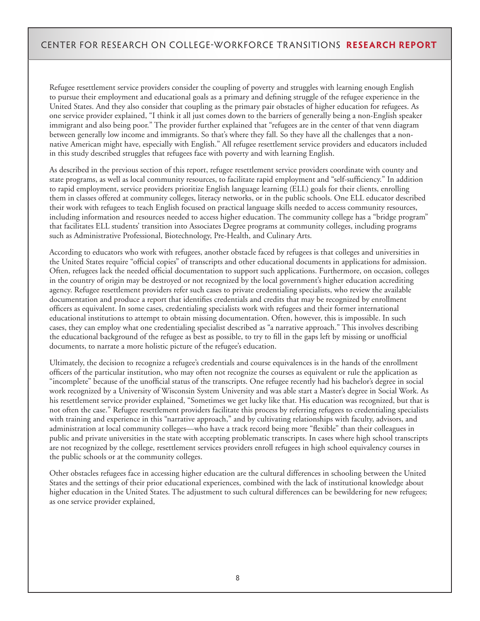Refugee resettlement service providers consider the coupling of poverty and struggles with learning enough English to pursue their employment and educational goals as a primary and defining struggle of the refugee experience in the United States. And they also consider that coupling as the primary pair obstacles of higher education for refugees. As one service provider explained, "I think it all just comes down to the barriers of generally being a non-English speaker immigrant and also being poor." The provider further explained that "refugees are in the center of that venn diagram between generally low income and immigrants. So that's where they fall. So they have all the challenges that a nonnative American might have, especially with English." All refugee resettlement service providers and educators included in this study described struggles that refugees face with poverty and with learning English.

As described in the previous section of this report, refugee resettlement service providers coordinate with county and state programs, as well as local community resources, to facilitate rapid employment and "self-sufficiency." In addition to rapid employment, service providers prioritize English language learning (ELL) goals for their clients, enrolling them in classes offered at community colleges, literacy networks, or in the public schools. One ELL educator described their work with refugees to teach English focused on practical language skills needed to access community resources, including information and resources needed to access higher education. The community college has a "bridge program" that facilitates ELL students' transition into Associates Degree programs at community colleges, including programs such as Administrative Professional, Biotechnology, Pre-Health, and Culinary Arts.

According to educators who work with refugees, another obstacle faced by refugees is that colleges and universities in the United States require "official copies" of transcripts and other educational documents in applications for admission. Often, refugees lack the needed official documentation to support such applications. Furthermore, on occasion, colleges in the country of origin may be destroyed or not recognized by the local government's higher education accrediting agency. Refugee resettlement providers refer such cases to private credentialing specialists, who review the available documentation and produce a report that identifies credentials and credits that may be recognized by enrollment officers as equivalent. In some cases, credentialing specialists work with refugees and their former international educational institutions to attempt to obtain missing documentation. Often, however, this is impossible. In such cases, they can employ what one credentialing specialist described as "a narrative approach." This involves describing the educational background of the refugee as best as possible, to try to fill in the gaps left by missing or unofficial documents, to narrate a more holistic picture of the refugee's education.

Ultimately, the decision to recognize a refugee's credentials and course equivalences is in the hands of the enrollment officers of the particular institution, who may often not recognize the courses as equivalent or rule the application as "incomplete" because of the unofficial status of the transcripts. One refugee recently had his bachelor's degree in social work recognized by a University of Wisconsin System University and was able start a Master's degree in Social Work. As his resettlement service provider explained, "Sometimes we get lucky like that. His education was recognized, but that is not often the case." Refugee resettlement providers facilitate this process by referring refugees to credentialing specialists with training and experience in this "narrative approach," and by cultivating relationships with faculty, advisors, and administration at local community colleges—who have a track record being more "flexible" than their colleagues in public and private universities in the state with accepting problematic transcripts. In cases where high school transcripts are not recognized by the college, resettlement services providers enroll refugees in high school equivalency courses in the public schools or at the community colleges.

Other obstacles refugees face in accessing higher education are the cultural differences in schooling between the United States and the settings of their prior educational experiences, combined with the lack of institutional knowledge about higher education in the United States. The adjustment to such cultural differences can be bewildering for new refugees; as one service provider explained,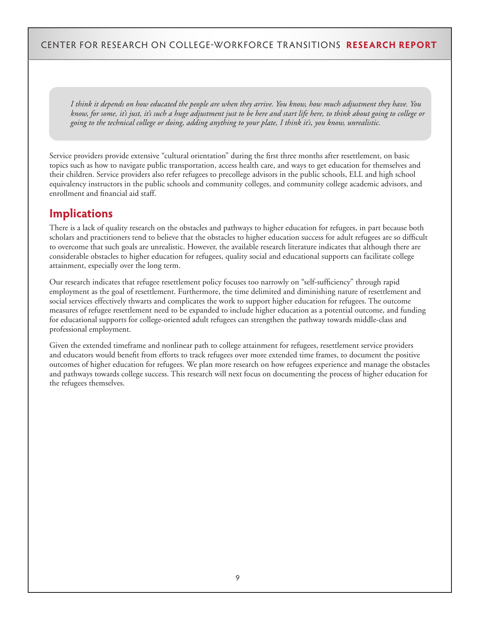*I think it depends on how educated the people are when they arrive. You know, how much adjustment they have. You know, for some, it's just, it's such a huge adjustment just to be here and start life here, to think about going to college or going to the technical college or doing, adding anything to your plate, I think it's, you know, unrealistic.*

Service providers provide extensive "cultural orientation" during the first three months after resettlement, on basic topics such as how to navigate public transportation, access health care, and ways to get education for themselves and their children. Service providers also refer refugees to precollege advisors in the public schools, ELL and high school equivalency instructors in the public schools and community colleges, and community college academic advisors, and enrollment and financial aid staff.

## **Implications**

There is a lack of quality research on the obstacles and pathways to higher education for refugees, in part because both scholars and practitioners tend to believe that the obstacles to higher education success for adult refugees are so difficult to overcome that such goals are unrealistic. However, the available research literature indicates that although there are considerable obstacles to higher education for refugees, quality social and educational supports can facilitate college attainment, especially over the long term.

Our research indicates that refugee resettlement policy focuses too narrowly on "self-sufficiency" through rapid employment as the goal of resettlement. Furthermore, the time delimited and diminishing nature of resettlement and social services effectively thwarts and complicates the work to support higher education for refugees. The outcome measures of refugee resettlement need to be expanded to include higher education as a potential outcome, and funding for educational supports for college-oriented adult refugees can strengthen the pathway towards middle-class and professional employment.

Given the extended timeframe and nonlinear path to college attainment for refugees, resettlement service providers and educators would benefit from efforts to track refugees over more extended time frames, to document the positive outcomes of higher education for refugees. We plan more research on how refugees experience and manage the obstacles and pathways towards college success. This research will next focus on documenting the process of higher education for the refugees themselves.